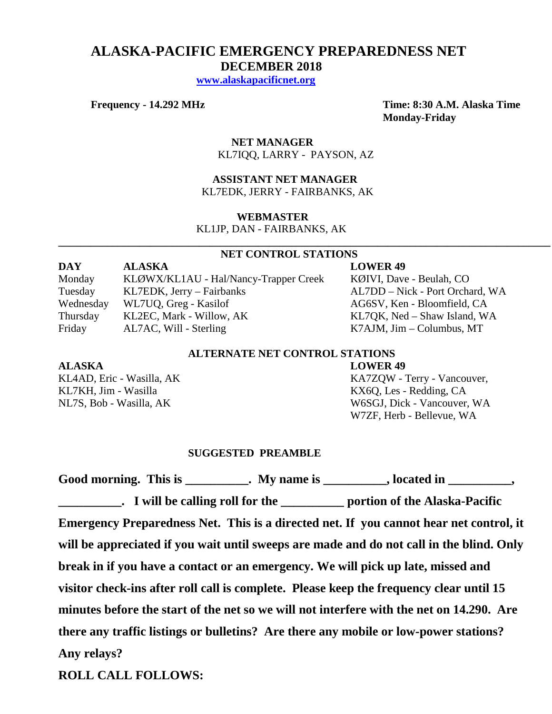# **ALASKA-PACIFIC EMERGENCY PREPAREDNESS NET DECEMBER 2018**

 **[www.alaskapacificnet.org](http://www.alaskapacificnet.org/)**

**Frequency - 14.292 MHz Time: 8:30 A.M. Alaska Time Monday-Friday**

> **NET MANAGER** KL7IQQ, LARRY - PAYSON, AZ

 **ASSISTANT NET MANAGER**  KL7EDK, JERRY - FAIRBANKS, AK

#### **WEBMASTER**

KL1JP, DAN - FAIRBANKS, AK

#### **NET CONTROL STATIONS**

**\_\_\_\_\_\_\_\_\_\_\_\_\_\_\_\_\_\_\_\_\_\_\_\_\_\_\_\_\_\_\_\_\_\_\_\_\_\_\_\_\_\_\_\_\_\_\_\_\_\_\_\_\_\_\_\_\_\_\_\_\_\_\_\_\_\_\_\_\_\_\_\_\_\_\_\_\_\_\_\_\_\_\_\_\_\_\_\_\_\_\_**

**DAY ALASKA LOWER 49** Monday KLØWX/KL1AU - Hal/Nancy-Trapper Creek KØIVI, Dave - Beulah, CO Tuesday KL7EDK, Jerry – Fairbanks AL7DD – Nick - Port Orchard, WA Wednesday WL7UQ, Greg - Kasilof AG6SV, Ken - Bloomfield, CA<br>
Thursday KL2EC, Mark - Willow, AK KL7QK, Ned - Shaw Island, W Thursday KL2EC, Mark - Willow, AK KL7QK, Ned – Shaw Island, WA Friday AL7AC, Will - Sterling K7AJM, Jim – Columbus, MT

### **ALTERNATE NET CONTROL STATIONS**

#### **ALASKA LOWER 49**

KL4AD, Eric - Wasilla, AK KA7ZQW - Terry - Vancouver, KL7KH, Jim - Wasilla<br>
NL7S. Bob - Wasilla. AK<br>
W6SGJ, Dick - Vancouver. W6SGJ, Dick - Vancouver, WA W7ZF, Herb - Bellevue, WA

#### **SUGGESTED PREAMBLE**

Good morning. This is \_\_\_\_\_\_\_\_\_\_. My name is \_\_\_\_\_\_\_\_\_, located in \_\_\_\_\_\_\_\_\_,

**\_\_\_\_\_\_\_\_\_\_. I will be calling roll for the \_\_\_\_\_\_\_\_\_\_ portion of the Alaska-Pacific Emergency Preparedness Net. This is a directed net. If you cannot hear net control, it will be appreciated if you wait until sweeps are made and do not call in the blind. Only break in if you have a contact or an emergency. We will pick up late, missed and visitor check-ins after roll call is complete. Please keep the frequency clear until 15 minutes before the start of the net so we will not interfere with the net on 14.290. Are there any traffic listings or bulletins? Are there any mobile or low-power stations? Any relays?** 

**ROLL CALL FOLLOWS:**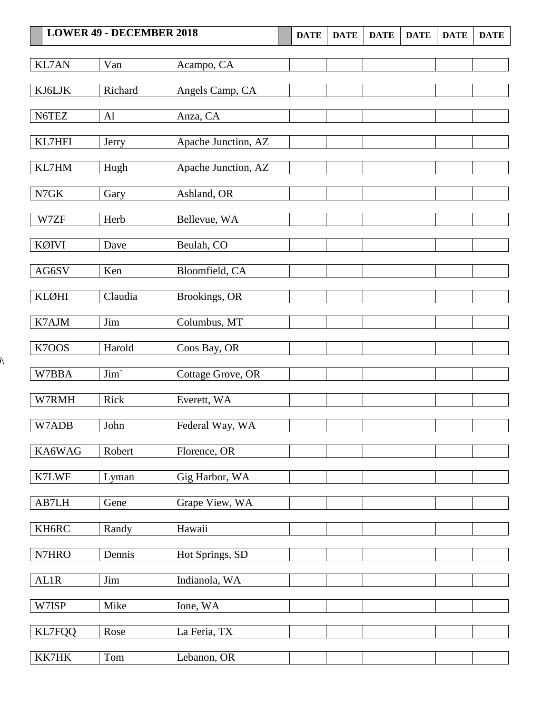| <b>LOWER 49 - DECEMBER 2018</b> |         | <b>DATE</b>         | <b>DATE</b> | <b>DATE</b> | <b>DATE</b> | <b>DATE</b> | <b>DATE</b> |  |
|---------------------------------|---------|---------------------|-------------|-------------|-------------|-------------|-------------|--|
| <b>KL7AN</b>                    | Van     | Acampo, CA          |             |             |             |             |             |  |
| KJ6LJK                          | Richard | Angels Camp, CA     |             |             |             |             |             |  |
| N6TEZ                           | AI      | Anza, CA            |             |             |             |             |             |  |
| KL7HFI                          | Jerry   | Apache Junction, AZ |             |             |             |             |             |  |
| KL7HM                           | Hugh    | Apache Junction, AZ |             |             |             |             |             |  |
| $N7\textrm{GK}$                 | Gary    | Ashland, OR         |             |             |             |             |             |  |
| W7ZF                            | Herb    | Bellevue, WA        |             |             |             |             |             |  |
| KØIVI                           | Dave    | Beulah, CO          |             |             |             |             |             |  |
| AG6SV                           | Ken     | Bloomfield, CA      |             |             |             |             |             |  |
| <b>KLØHI</b>                    | Claudia | Brookings, OR       |             |             |             |             |             |  |
| K7AJM                           | Jim     | Columbus, MT        |             |             |             |             |             |  |
| K7OOS                           | Harold  | Coos Bay, OR        |             |             |             |             |             |  |
| W7BBA                           | Jim'    | Cottage Grove, OR   |             |             |             |             |             |  |
| W7RMH                           | Rick    | Everett, WA         |             |             |             |             |             |  |
| W7ADB                           | John    | Federal Way, WA     |             |             |             |             |             |  |
| KA6WAG                          | Robert  | Florence, OR        |             |             |             |             |             |  |
| K7LWF                           | Lyman   | Gig Harbor, WA      |             |             |             |             |             |  |
| AB7LH                           | Gene    | Grape View, WA      |             |             |             |             |             |  |
| KH6RC                           | Randy   | Hawaii              |             |             |             |             |             |  |
| N7HRO                           | Dennis  | Hot Springs, SD     |             |             |             |             |             |  |
| <b>AL1R</b>                     | Jim     | Indianola, WA       |             |             |             |             |             |  |
| W7ISP                           | Mike    | Ione, WA            |             |             |             |             |             |  |
| KL7FQQ                          | Rose    | La Feria, TX        |             |             |             |             |             |  |
| KK7HK                           | Tom     | Lebanon, OR         |             |             |             |             |             |  |

 $\lambda$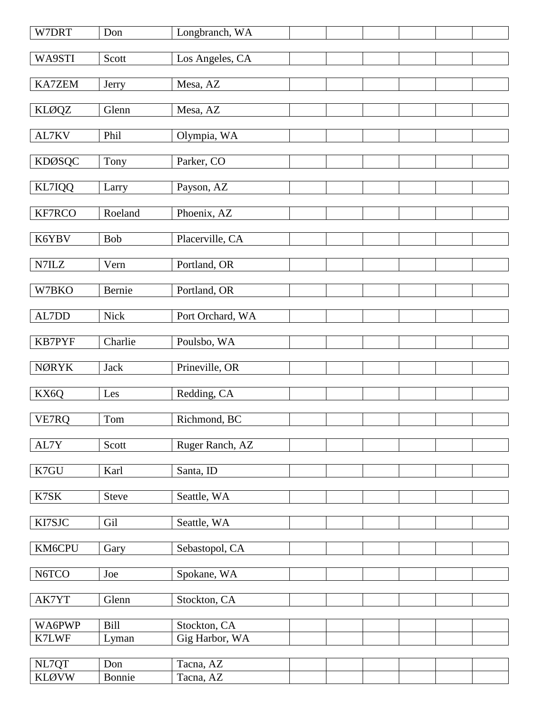| W7DRT                 | Don           | Longbranch, WA         |
|-----------------------|---------------|------------------------|
| WA9STI                | Scott         | Los Angeles, CA        |
|                       |               |                        |
| <b>KA7ZEM</b>         | Jerry         | Mesa, AZ               |
| <b>KLØQZ</b>          | Glenn         | Mesa, AZ               |
|                       |               |                        |
| AL7KV                 | Phil          | Olympia, WA            |
|                       |               |                        |
| <b>KDØSQC</b>         | Tony          | Parker, CO             |
| KL7IQQ                | Larry         | Payson, AZ             |
|                       |               |                        |
| KF7RCO                | Roeland       | Phoenix, AZ            |
| K6YBV                 | Bob           | Placerville, CA        |
|                       |               |                        |
| N7ILZ                 | Vern          | Portland, OR           |
| W7BKO                 | Bernie        | Portland, OR           |
|                       |               |                        |
| AL7DD                 | <b>Nick</b>   | Port Orchard, WA       |
|                       |               |                        |
| <b>KB7PYF</b>         | Charlie       | Poulsbo, WA            |
| <b>NØRYK</b>          | <b>Jack</b>   | Prineville, OR         |
|                       |               |                        |
| KX6Q                  | Les           | Redding, CA            |
|                       |               |                        |
| VE7RQ                 | Tom           | Richmond, BC           |
| AL7Y                  | Scott         | Ruger Ranch, AZ        |
|                       |               |                        |
| K7GU                  | Karl          | Santa, ID              |
| K7SK                  | <b>Steve</b>  | Seattle, WA            |
|                       |               |                        |
| KI7SJC                | Gil           | Seattle, WA            |
|                       |               |                        |
| KM6CPU                | Gary          | Sebastopol, CA         |
| N6TCO                 | Joe           | Spokane, WA            |
|                       |               |                        |
| AK7YT                 | Glenn         | Stockton, CA           |
|                       |               |                        |
|                       |               |                        |
| WA6PWP                | Bill          | Stockton, CA           |
| K7LWF                 | Lyman         | Gig Harbor, WA         |
| NL7QT<br><b>KLØVW</b> | Don<br>Bonnie | Tacna, AZ<br>Tacna, AZ |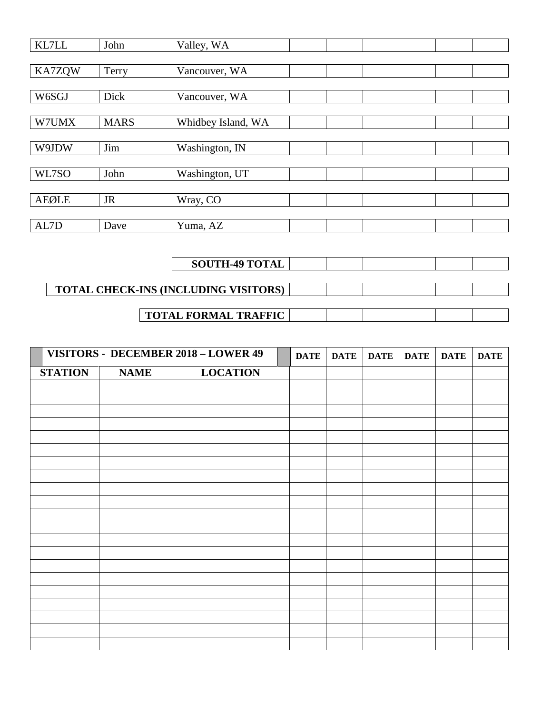| KL7LL         | John        | Valley, WA         |  |  |  |
|---------------|-------------|--------------------|--|--|--|
|               |             |                    |  |  |  |
| <b>KA7ZQW</b> | Terry       | Vancouver, WA      |  |  |  |
|               |             |                    |  |  |  |
| W6SGJ         | Dick        | Vancouver, WA      |  |  |  |
|               |             |                    |  |  |  |
| W7UMX         | <b>MARS</b> | Whidbey Island, WA |  |  |  |
|               |             |                    |  |  |  |
| W9JDW         | Jim         | Washington, IN     |  |  |  |
|               |             |                    |  |  |  |
| WL7SO         | John        | Washington, UT     |  |  |  |
|               |             |                    |  |  |  |
| <b>AEØLE</b>  | <b>JR</b>   | Wray, CO           |  |  |  |
|               |             |                    |  |  |  |
| AL7D          | Dave        | Yuma, AZ           |  |  |  |

| <b>SOUTH-49 TOTAL</b>                       |  |  |  |
|---------------------------------------------|--|--|--|
|                                             |  |  |  |
| <b>TOTAL CHECK-INS (INCLUDING VISITORS)</b> |  |  |  |
| <b>TOTAL FORMAL TRAFFIC</b>                 |  |  |  |

| VISITORS - DECEMBER 2018 - LOWER 49 |             | <b>DATE</b>     | <b>DATE</b> | <b>DATE</b> | <b>DATE</b> | <b>DATE</b> | <b>DATE</b> |  |
|-------------------------------------|-------------|-----------------|-------------|-------------|-------------|-------------|-------------|--|
| <b>STATION</b>                      | <b>NAME</b> | <b>LOCATION</b> |             |             |             |             |             |  |
|                                     |             |                 |             |             |             |             |             |  |
|                                     |             |                 |             |             |             |             |             |  |
|                                     |             |                 |             |             |             |             |             |  |
|                                     |             |                 |             |             |             |             |             |  |
|                                     |             |                 |             |             |             |             |             |  |
|                                     |             |                 |             |             |             |             |             |  |
|                                     |             |                 |             |             |             |             |             |  |
|                                     |             |                 |             |             |             |             |             |  |
|                                     |             |                 |             |             |             |             |             |  |
|                                     |             |                 |             |             |             |             |             |  |
|                                     |             |                 |             |             |             |             |             |  |
|                                     |             |                 |             |             |             |             |             |  |
|                                     |             |                 |             |             |             |             |             |  |
|                                     |             |                 |             |             |             |             |             |  |
|                                     |             |                 |             |             |             |             |             |  |
|                                     |             |                 |             |             |             |             |             |  |
|                                     |             |                 |             |             |             |             |             |  |
|                                     |             |                 |             |             |             |             |             |  |
|                                     |             |                 |             |             |             |             |             |  |
|                                     |             |                 |             |             |             |             |             |  |
|                                     |             |                 |             |             |             |             |             |  |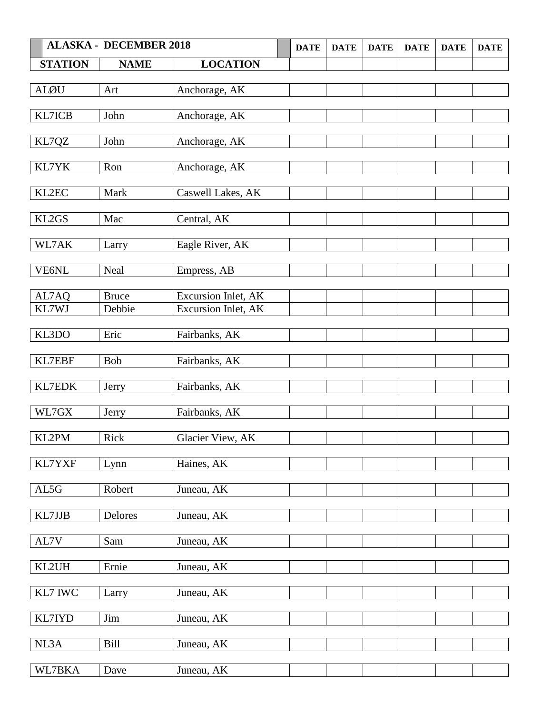| <b>ALASKA - DECEMBER 2018</b> |              | <b>DATE</b>         | <b>DATE</b> | <b>DATE</b> | <b>DATE</b> | <b>DATE</b> | <b>DATE</b> |  |
|-------------------------------|--------------|---------------------|-------------|-------------|-------------|-------------|-------------|--|
| <b>STATION</b>                | <b>NAME</b>  | <b>LOCATION</b>     |             |             |             |             |             |  |
| <b>ALØU</b>                   | Art          | Anchorage, AK       |             |             |             |             |             |  |
|                               |              |                     |             |             |             |             |             |  |
| KL7ICB                        | John         | Anchorage, AK       |             |             |             |             |             |  |
| KL7QZ                         | John         | Anchorage, AK       |             |             |             |             |             |  |
| KL7YK                         | Ron          | Anchorage, AK       |             |             |             |             |             |  |
| KL2EC                         | Mark         | Caswell Lakes, AK   |             |             |             |             |             |  |
| KL2GS                         | Mac          | Central, AK         |             |             |             |             |             |  |
| WL7AK                         | Larry        | Eagle River, AK     |             |             |             |             |             |  |
| VE6NL                         | Neal         | Empress, AB         |             |             |             |             |             |  |
| AL7AQ                         | <b>Bruce</b> | Excursion Inlet, AK |             |             |             |             |             |  |
| KL7WJ                         | Debbie       | Excursion Inlet, AK |             |             |             |             |             |  |
| KL3DO                         | Eric         | Fairbanks, AK       |             |             |             |             |             |  |
| KL7EBF                        | <b>Bob</b>   | Fairbanks, AK       |             |             |             |             |             |  |
| KL7EDK                        | Jerry        | Fairbanks, AK       |             |             |             |             |             |  |
| WL7GX                         | Jerry        | Fairbanks, AK       |             |             |             |             |             |  |
| KL2PM                         | Rick         | Glacier View, AK    |             |             |             |             |             |  |
| KL7YXF                        | Lynn         | Haines, AK          |             |             |             |             |             |  |
| AL5G                          | Robert       | Juneau, AK          |             |             |             |             |             |  |
| KL7JJB                        | Delores      | Juneau, AK          |             |             |             |             |             |  |
| AL7V                          | Sam          | Juneau, AK          |             |             |             |             |             |  |
| KL2UH                         | Ernie        | Juneau, AK          |             |             |             |             |             |  |
| KL7 IWC                       | Larry        | Juneau, AK          |             |             |             |             |             |  |
| KL7IYD                        | Jim          | Juneau, AK          |             |             |             |             |             |  |
| NL3A                          | Bill         | Juneau, AK          |             |             |             |             |             |  |
| WL7BKA                        | Dave         | Juneau, AK          |             |             |             |             |             |  |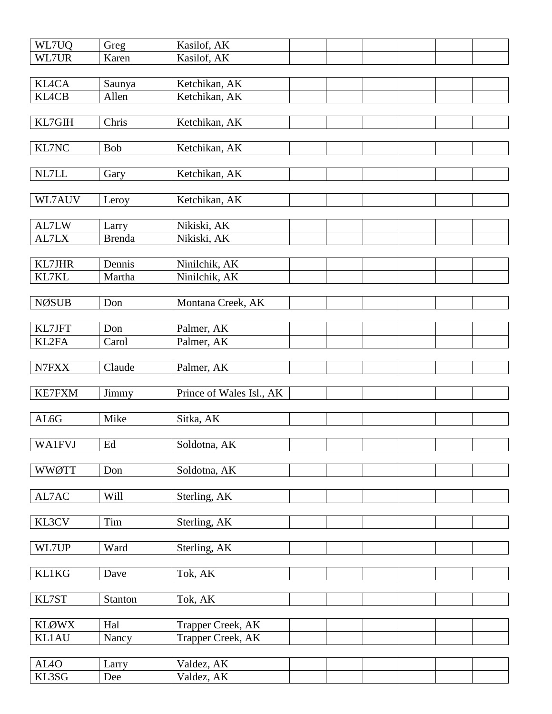| WL7UQ                      | Greg                | Kasilof, AK              |  |  |  |
|----------------------------|---------------------|--------------------------|--|--|--|
| WL7UR                      | Karen               | Kasilof, AK              |  |  |  |
|                            |                     |                          |  |  |  |
| <b>KL4CA</b>               | Saunya              | Ketchikan, AK            |  |  |  |
| <b>KL4CB</b>               | Allen               | Ketchikan, AK            |  |  |  |
|                            |                     |                          |  |  |  |
| KL7GIH                     | Chris               | Ketchikan, AK            |  |  |  |
|                            |                     |                          |  |  |  |
| KL7NC                      | <b>Bob</b>          | Ketchikan, AK            |  |  |  |
|                            |                     |                          |  |  |  |
| NL7LL                      | Gary                | Ketchikan, AK            |  |  |  |
|                            |                     |                          |  |  |  |
| WL7AUV                     | Leroy               | Ketchikan, AK            |  |  |  |
|                            |                     |                          |  |  |  |
| AL7LW                      | Larry               | Nikiski, AK              |  |  |  |
| AL7LX                      | <b>Brenda</b>       | Nikiski, AK              |  |  |  |
|                            |                     |                          |  |  |  |
| <b>KL7JHR</b>              | Dennis              | Ninilchik, AK            |  |  |  |
| KL7KL                      | Martha              | Ninilchik, AK            |  |  |  |
|                            |                     |                          |  |  |  |
| <b>NØSUB</b>               | Don                 | Montana Creek, AK        |  |  |  |
|                            |                     |                          |  |  |  |
| KL7JFT                     | Don                 | Palmer, AK               |  |  |  |
| KL2FA                      | Carol               | Palmer, AK               |  |  |  |
|                            |                     |                          |  |  |  |
| N7FXX                      | Claude              | Palmer, AK               |  |  |  |
|                            |                     |                          |  |  |  |
| <b>KE7FXM</b>              | Jimmy               | Prince of Wales Isl., AK |  |  |  |
|                            |                     |                          |  |  |  |
|                            |                     |                          |  |  |  |
|                            |                     |                          |  |  |  |
| AL6G                       | Mike                | Sitka, AK                |  |  |  |
|                            |                     |                          |  |  |  |
| <b>WA1FVJ</b>              | $\operatorname{Ed}$ | Soldotna, AK             |  |  |  |
|                            |                     |                          |  |  |  |
| <b>WWØTT</b>               | Don                 | Soldotna, AK             |  |  |  |
|                            |                     |                          |  |  |  |
| AL7AC                      | Will                | Sterling, AK             |  |  |  |
|                            |                     |                          |  |  |  |
| KL3CV                      | Tim                 | Sterling, AK             |  |  |  |
|                            |                     |                          |  |  |  |
| WL7UP                      | Ward                | Sterling, AK             |  |  |  |
|                            |                     |                          |  |  |  |
| <b>KL1KG</b>               | Dave                | Tok, AK                  |  |  |  |
|                            |                     |                          |  |  |  |
| KL7ST                      | Stanton             | Tok, AK                  |  |  |  |
|                            |                     |                          |  |  |  |
| <b>KLØWX</b>               | Hal                 | Trapper Creek, AK        |  |  |  |
| KL1AU                      | Nancy               | Trapper Creek, AK        |  |  |  |
|                            |                     |                          |  |  |  |
| AL <sub>4</sub> O<br>KL3SG | Larry<br>Dee        | Valdez, AK<br>Valdez, AK |  |  |  |